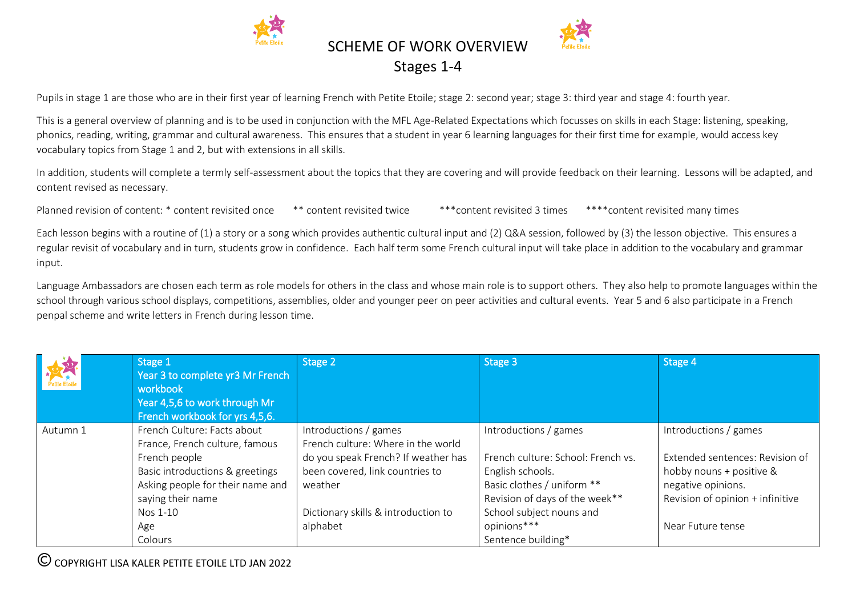

Pupils in stage 1 are those who are in their first year of learning French with Petite Etoile; stage 2: second year; stage 3: third year and stage 4: fourth year.

This is a general overview of planning and is to be used in conjunction with the MFL Age-Related Expectations which focusses on skills in each Stage: listening, speaking, phonics, reading, writing, grammar and cultural awareness. This ensures that a student in year 6 learning languages for their first time for example, would access key vocabulary topics from Stage 1 and 2, but with extensions in all skills.

In addition, students will complete a termly self-assessment about the topics that they are covering and will provide feedback on their learning. Lessons will be adapted, and content revised as necessary.

Planned revision of content: \* content revisited once \*\* content revisited twice \*\*\* content revisited 3 times \*\*\*\* content revisited many times

Each lesson begins with a routine of (1) a story or a song which provides authentic cultural input and (2) Q&A session, followed by (3) the lesson objective. This ensures a regular revisit of vocabulary and in turn, students grow in confidence. Each half term some French cultural input will take place in addition to the vocabulary and grammar input.

Language Ambassadors are chosen each term as role models for others in the class and whose main role is to support others. They also help to promote languages within the school through various school displays, competitions, assemblies, older and younger peer on peer activities and cultural events. Year 5 and 6 also participate in a French penpal scheme and write letters in French during lesson time.

| French Culture: Facts about<br>Introductions / games<br>Introductions / games<br>Introductions / games<br>Autumn 1                                                                                                                                                                                                                                                                                                                                                                                                                                                                                                        |                                                                     |
|---------------------------------------------------------------------------------------------------------------------------------------------------------------------------------------------------------------------------------------------------------------------------------------------------------------------------------------------------------------------------------------------------------------------------------------------------------------------------------------------------------------------------------------------------------------------------------------------------------------------------|---------------------------------------------------------------------|
| French culture: Where in the world<br>France, French culture, famous<br>do you speak French? If weather has<br>French culture: School: French vs.<br>French people<br>been covered, link countries to<br>Basic introductions & greetings<br>English schools.<br>hobby nouns + positive &<br>Asking people for their name and<br>Basic clothes / uniform **<br>negative opinions.<br>weather<br>saying their name<br>Revision of days of the week**<br>School subject nouns and<br>Dictionary skills & introduction to<br>Nos 1-10<br>opinions***<br>alphabet<br>Near Future tense<br>Age<br>Sentence building*<br>Colours | Extended sentences: Revision of<br>Revision of opinion + infinitive |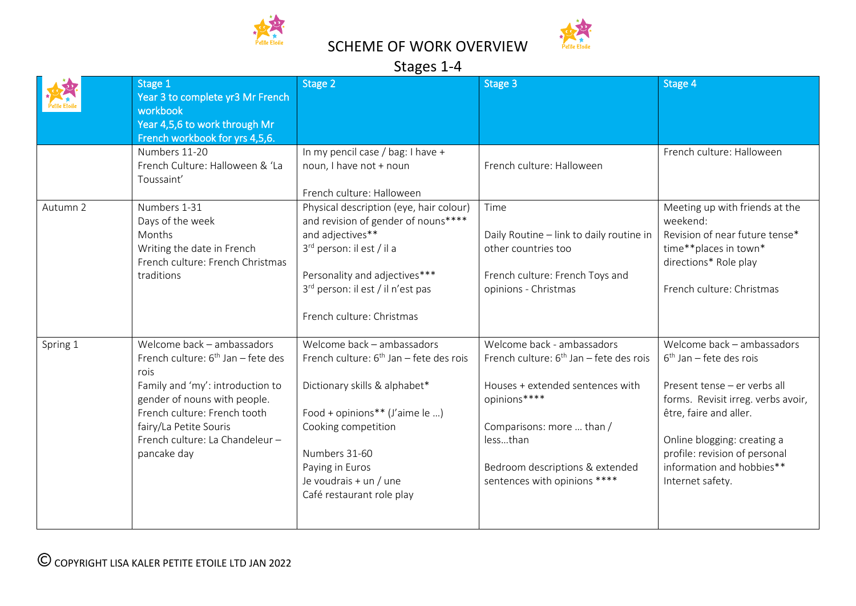

# Stages 1-4

|          | Stage 1<br>Year 3 to complete yr3 Mr French<br>workbook<br>Year 4,5,6 to work through Mr<br>French workbook for yrs 4,5,6.                                                                                                                                           | Stage 2                                                                                                                                                                                                                                                      | Stage 3                                                                                                                                                                                                                                 | Stage 4                                                                                                                                                                                                                                                                  |  |  |  |  |
|----------|----------------------------------------------------------------------------------------------------------------------------------------------------------------------------------------------------------------------------------------------------------------------|--------------------------------------------------------------------------------------------------------------------------------------------------------------------------------------------------------------------------------------------------------------|-----------------------------------------------------------------------------------------------------------------------------------------------------------------------------------------------------------------------------------------|--------------------------------------------------------------------------------------------------------------------------------------------------------------------------------------------------------------------------------------------------------------------------|--|--|--|--|
|          | Numbers 11-20<br>French Culture: Halloween & 'La<br>Toussaint'                                                                                                                                                                                                       | In my pencil case / bag: I have +<br>noun, I have not + noun<br>French culture: Halloween                                                                                                                                                                    | French culture: Halloween                                                                                                                                                                                                               | French culture: Halloween                                                                                                                                                                                                                                                |  |  |  |  |
| Autumn 2 | Numbers 1-31<br>Days of the week<br>Months<br>Writing the date in French<br>French culture: French Christmas<br>traditions                                                                                                                                           | Physical description (eye, hair colour)<br>and revision of gender of nouns****<br>and adjectives**<br>3rd person: il est / il a<br>Personality and adjectives***<br>3 <sup>rd</sup> person: il est / il n'est pas<br>French culture: Christmas               | Time<br>Daily Routine - link to daily routine in<br>other countries too<br>French culture: French Toys and<br>opinions - Christmas                                                                                                      | Meeting up with friends at the<br>weekend:<br>Revision of near future tense*<br>time**places in town*<br>directions* Role play<br>French culture: Christmas                                                                                                              |  |  |  |  |
| Spring 1 | Welcome back - ambassadors<br>French culture: 6 <sup>th</sup> Jan - fete des<br>rois<br>Family and 'my': introduction to<br>gender of nouns with people.<br>French culture: French tooth<br>fairy/La Petite Souris<br>French culture: La Chandeleur -<br>pancake day | Welcome back - ambassadors<br>French culture: $6th$ Jan – fete des rois<br>Dictionary skills & alphabet*<br>Food + opinions** (J'aime le )<br>Cooking competition<br>Numbers 31-60<br>Paying in Euros<br>Je voudrais + un / une<br>Café restaurant role play | Welcome back - ambassadors<br>French culture: $6th$ Jan – fete des rois<br>Houses + extended sentences with<br>opinions****<br>Comparisons: more  than /<br>lessthan<br>Bedroom descriptions & extended<br>sentences with opinions **** | Welcome back - ambassadors<br>$6th$ Jan – fete des rois<br>Present tense - er verbs all<br>forms. Revisit irreg. verbs avoir,<br>être, faire and aller.<br>Online blogging: creating a<br>profile: revision of personal<br>information and hobbies**<br>Internet safety. |  |  |  |  |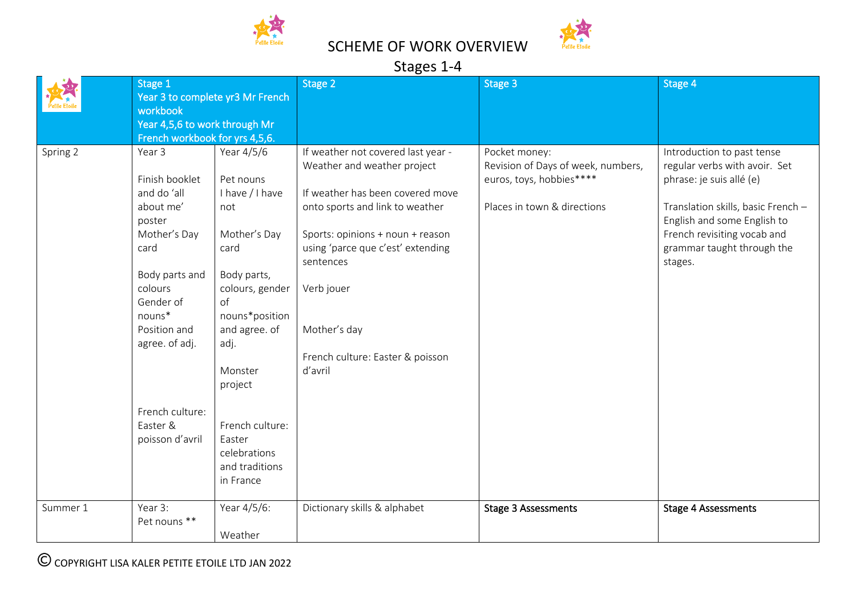

# Stages 1-4

| Stage 1  |                                                                                                                 | Stage 2         | Stage 3                            | Stage 4                            |                                    |
|----------|-----------------------------------------------------------------------------------------------------------------|-----------------|------------------------------------|------------------------------------|------------------------------------|
|          | Year 3 to complete yr3 Mr French<br>workbook<br>Year 4,5,6 to work through Mr<br>French workbook for yrs 4,5,6. |                 |                                    |                                    |                                    |
|          |                                                                                                                 |                 |                                    |                                    |                                    |
|          |                                                                                                                 |                 |                                    |                                    |                                    |
|          |                                                                                                                 |                 |                                    |                                    |                                    |
| Spring 2 | Year 3                                                                                                          | Year 4/5/6      | If weather not covered last year - | Pocket money:                      | Introduction to past tense         |
|          |                                                                                                                 |                 | Weather and weather project        | Revision of Days of week, numbers, | regular verbs with avoir. Set      |
|          | Finish booklet                                                                                                  | Pet nouns       |                                    | euros, toys, hobbies****           | phrase: je suis allé (e)           |
|          | and do 'all                                                                                                     | I have / I have | If weather has been covered move   |                                    |                                    |
|          | about me'                                                                                                       | not             | onto sports and link to weather    | Places in town & directions        | Translation skills, basic French - |
|          | poster                                                                                                          |                 |                                    |                                    | English and some English to        |
|          | Mother's Day                                                                                                    | Mother's Day    | Sports: opinions + noun + reason   |                                    | French revisiting vocab and        |
|          | card                                                                                                            | card            | using 'parce que c'est' extending  |                                    | grammar taught through the         |
|          |                                                                                                                 |                 | sentences                          |                                    |                                    |
|          |                                                                                                                 |                 |                                    |                                    | stages.                            |
|          | Body parts and<br>colours                                                                                       | Body parts,     |                                    |                                    |                                    |
|          |                                                                                                                 | colours, gender | Verb jouer                         |                                    |                                    |
|          | Gender of                                                                                                       | $\circ$ f       |                                    |                                    |                                    |
|          | nouns*                                                                                                          | nouns*position  |                                    |                                    |                                    |
|          | Position and                                                                                                    | and agree. of   | Mother's day                       |                                    |                                    |
|          | agree. of adj.                                                                                                  | adj.            |                                    |                                    |                                    |
|          |                                                                                                                 |                 | French culture: Easter & poisson   |                                    |                                    |
|          |                                                                                                                 | Monster         | d'avril                            |                                    |                                    |
|          |                                                                                                                 | project         |                                    |                                    |                                    |
|          |                                                                                                                 |                 |                                    |                                    |                                    |
|          | French culture:                                                                                                 |                 |                                    |                                    |                                    |
|          | Easter &                                                                                                        | French culture: |                                    |                                    |                                    |
|          | poisson d'avril                                                                                                 | Easter          |                                    |                                    |                                    |
|          |                                                                                                                 | celebrations    |                                    |                                    |                                    |
|          |                                                                                                                 | and traditions  |                                    |                                    |                                    |
|          |                                                                                                                 | in France       |                                    |                                    |                                    |
|          |                                                                                                                 |                 |                                    |                                    |                                    |
| Summer 1 | Year 3:                                                                                                         | Year 4/5/6:     | Dictionary skills & alphabet       | <b>Stage 3 Assessments</b>         | <b>Stage 4 Assessments</b>         |
|          | Pet nouns **                                                                                                    |                 |                                    |                                    |                                    |
|          |                                                                                                                 | Weather         |                                    |                                    |                                    |
|          |                                                                                                                 |                 |                                    |                                    |                                    |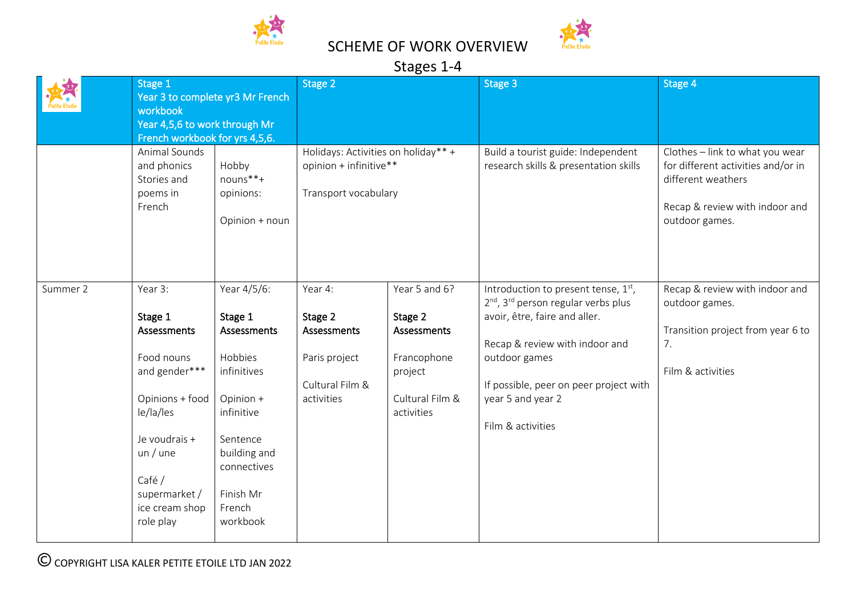

## Stages 1-4

|          | Stage 1<br>Year 3 to complete yr3 Mr French<br>workbook<br>Year 4,5,6 to work through Mr<br>French workbook for yrs 4,5,6.                                                            |                                                                                                                                                                          | Stage 2                                                                               |                                                                                                           | Stage 3                                                                                                                                                                                                                                                                       | Stage 4                                                                                                                                         |  |  |  |
|----------|---------------------------------------------------------------------------------------------------------------------------------------------------------------------------------------|--------------------------------------------------------------------------------------------------------------------------------------------------------------------------|---------------------------------------------------------------------------------------|-----------------------------------------------------------------------------------------------------------|-------------------------------------------------------------------------------------------------------------------------------------------------------------------------------------------------------------------------------------------------------------------------------|-------------------------------------------------------------------------------------------------------------------------------------------------|--|--|--|
|          | Animal Sounds<br>and phonics<br>Stories and<br>poems in<br>French                                                                                                                     | Hobby<br>nouns**+<br>opinions:<br>Opinion + noun                                                                                                                         | Holidays: Activities on holiday** +<br>opinion + infinitive**<br>Transport vocabulary |                                                                                                           | Build a tourist guide: Independent<br>research skills & presentation skills                                                                                                                                                                                                   | Clothes - link to what you wear<br>for different activities and/or in<br>different weathers<br>Recap & review with indoor and<br>outdoor games. |  |  |  |
| Summer 2 | Year 3:<br>Stage 1<br>Assessments<br>Food nouns<br>and gender***<br>Opinions + food<br>le/la/les<br>Je voudrais +<br>un/une<br>Café /<br>supermarket /<br>ice cream shop<br>role play | Year 4/5/6:<br>Stage 1<br>Assessments<br>Hobbies<br>infinitives<br>Opinion +<br>infinitive<br>Sentence<br>building and<br>connectives<br>Finish Mr<br>French<br>workbook | Year 4:<br>Stage 2<br>Assessments<br>Paris project<br>Cultural Film &<br>activities   | Year 5 and 6?<br>Stage 2<br><b>Assessments</b><br>Francophone<br>project<br>Cultural Film &<br>activities | Introduction to present tense, $1st$ ,<br>2 <sup>nd</sup> , 3 <sup>rd</sup> person regular verbs plus<br>avoir, être, faire and aller.<br>Recap & review with indoor and<br>outdoor games<br>If possible, peer on peer project with<br>year 5 and year 2<br>Film & activities | Recap & review with indoor and<br>outdoor games.<br>Transition project from year 6 to<br>7.<br>Film & activities                                |  |  |  |

COPYRIGHT LISA KALER PETITE ETOILE LTD JAN 2022